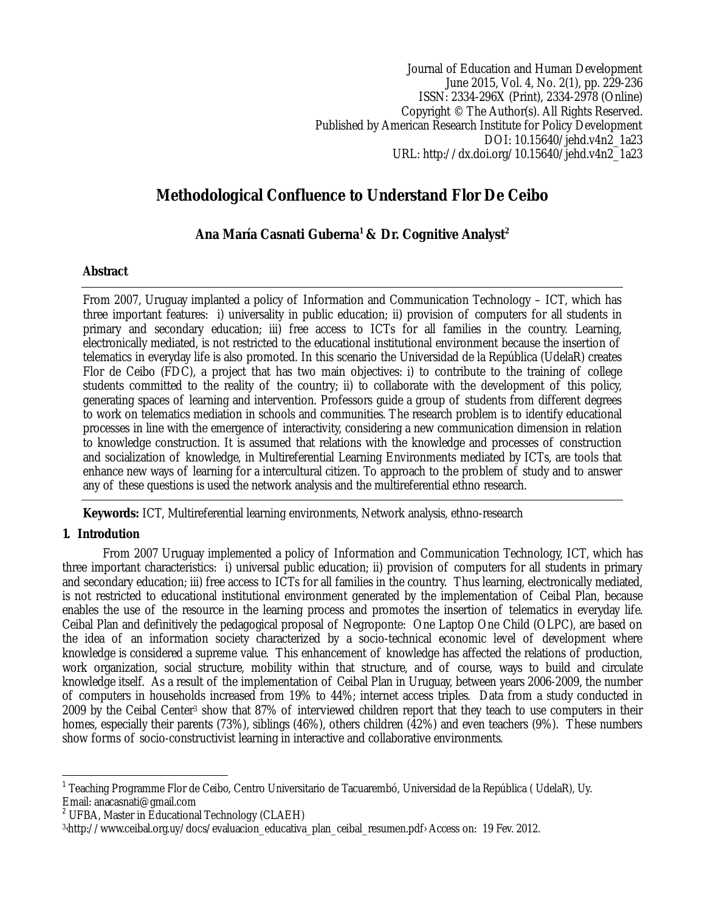Journal of Education and Human Development June 2015, Vol. 4, No. 2(1), pp. 229-236 ISSN: 2334-296X (Print), 2334-2978 (Online) Copyright © The Author(s). All Rights Reserved. Published by American Research Institute for Policy Development DOI: 10.15640/jehd.v4n2\_1a23 URL: http://dx.doi.org/10.15640/jehd.v4n2\_1a23

# **Methodological Confluence to Understand Flor De Ceibo**

# **Ana María Casnati Guberna<sup>1</sup> & Dr. Cognitive Analyst<sup>2</sup>**

# **Abstract**

From 2007, Uruguay implanted a policy of Information and Communication Technology – ICT, which has three important features: i) universality in public education; ii) provision of computers for all students in primary and secondary education; iii) free access to ICTs for all families in the country. Learning, electronically mediated, is not restricted to the educational institutional environment because the insertion of telematics in everyday life is also promoted. In this scenario the Universidad de la República (UdelaR) creates Flor de Ceibo (FDC), a project that has two main objectives: i) to contribute to the training of college students committed to the reality of the country; ii) to collaborate with the development of this policy, generating spaces of learning and intervention. Professors guide a group of students from different degrees to work on telematics mediation in schools and communities. The research problem is to identify educational processes in line with the emergence of interactivity, considering a new communication dimension in relation to knowledge construction. It is assumed that relations with the knowledge and processes of construction and socialization of knowledge, in Multireferential Learning Environments mediated by ICTs, are tools that enhance new ways of learning for a intercultural citizen. To approach to the problem of study and to answer any of these questions is used the network analysis and the multireferential ethno research.

**Keywords:** ICT, Multireferential learning environments, Network analysis, ethno-research

# **1. Introdution**

 $\overline{\phantom{a}}$ 

From 2007 Uruguay implemented a policy of Information and Communication Technology, ICT, which has three important characteristics: i) universal public education; ii) provision of computers for all students in primary and secondary education; iii) free access to ICTs for all families in the country. Thus learning, electronically mediated, is not restricted to educational institutional environment generated by the implementation of Ceibal Plan, because enables the use of the resource in the learning process and promotes the insertion of telematics in everyday life. Ceibal Plan and definitively the pedagogical proposal of Negroponte: One Laptop One Child (OLPC), are based on the idea of an information society characterized by a socio-technical economic level of development where knowledge is considered a supreme value. This enhancement of knowledge has affected the relations of production, work organization, social structure, mobility within that structure, and of course, ways to build and circulate knowledge itself. As a result of the implementation of Ceibal Plan in Uruguay, between years 2006-2009, the number of computers in households increased from 19% to 44%; internet access triples. Data from a study conducted in 2009 by the Ceibal Center<sup>3</sup> show that 87% of interviewed children report that they teach to use computers in their homes, especially their parents (73%), siblings (46%), others children (42%) and even teachers (9%). These numbers show forms of socio-constructivist learning in interactive and collaborative environments.

<sup>1</sup> Teaching Programme Flor de Ceibo, Centro Universitario de Tacuarembó, Universidad de la República ( UdelaR), Uy. Email: anacasnati@gmail.com

 $2$  UFBA, Master in Educational Technology (CLAEH)

<sup>3</sup> ‹http://www.ceibal.org.uy/docs/evaluacion\_educativa\_plan\_ceibal\_resumen.pdf› Access on: 19 Fev. 2012.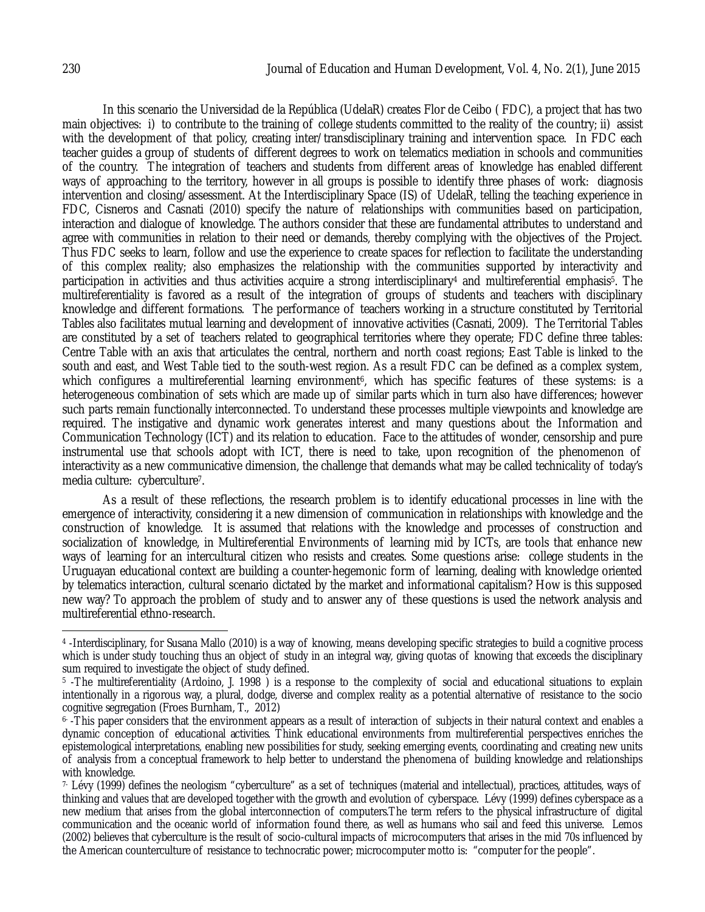In this scenario the Universidad de la República (UdelaR) creates Flor de Ceibo ( FDC), a project that has two main objectives: i) to contribute to the training of college students committed to the reality of the country; ii) assist with the development of that policy, creating inter/transdisciplinary training and intervention space. In FDC each teacher guides a group of students of different degrees to work on telematics mediation in schools and communities of the country. The integration of teachers and students from different areas of knowledge has enabled different ways of approaching to the territory, however in all groups is possible to identify three phases of work: diagnosis intervention and closing/assessment. At the Interdisciplinary Space (IS) of UdelaR, telling the teaching experience in FDC, Cisneros and Casnati (2010) specify the nature of relationships with communities based on participation, interaction and dialogue of knowledge. The authors consider that these are fundamental attributes to understand and agree with communities in relation to their need or demands, thereby complying with the objectives of the Project. Thus FDC seeks to learn, follow and use the experience to create spaces for reflection to facilitate the understanding of this complex reality; also emphasizes the relationship with the communities supported by interactivity and participation in activities and thus activities acquire a strong interdisciplinary<sup>4</sup> and multireferential emphasis<sup>5</sup>. The multireferentiality is favored as a result of the integration of groups of students and teachers with disciplinary knowledge and different formations. The performance of teachers working in a structure constituted by Territorial Tables also facilitates mutual learning and development of innovative activities (Casnati, 2009). The Territorial Tables are constituted by a set of teachers related to geographical territories where they operate; FDC define three tables: Centre Table with an axis that articulates the central, northern and north coast regions; East Table is linked to the south and east, and West Table tied to the south-west region. As a result FDC can be defined as a complex system, which configures a multireferential learning environment<sup>6</sup>, which has specific features of these systems: is a heterogeneous combination of sets which are made up of similar parts which in turn also have differences; however such parts remain functionally interconnected. To understand these processes multiple viewpoints and knowledge are required. The instigative and dynamic work generates interest and many questions about the Information and Communication Technology (ICT) and its relation to education. Face to the attitudes of wonder, censorship and pure instrumental use that schools adopt with ICT, there is need to take, upon recognition of the phenomenon of interactivity as a new communicative dimension, the challenge that demands what may be called technicality of today's media culture: cyberculture7.

As a result of these reflections, the research problem is to identify educational processes in line with the emergence of interactivity, considering it a new dimension of communication in relationships with knowledge and the construction of knowledge. It is assumed that relations with the knowledge and processes of construction and socialization of knowledge, in Multireferential Environments of learning mid by ICTs, are tools that enhance new ways of learning for an intercultural citizen who resists and creates. Some questions arise: college students in the Uruguayan educational context are building a counter-hegemonic form of learning, dealing with knowledge oriented by telematics interaction, cultural scenario dictated by the market and informational capitalism? How is this supposed new way? To approach the problem of study and to answer any of these questions is used the network analysis and multireferential ethno-research.

 $\overline{\phantom{a}}$ 4 -Interdisciplinary, for Susana Mallo (2010) is a way of knowing, means developing specific strategies to build a cognitive process which is under study touching thus an object of study in an integral way, giving quotas of knowing that exceeds the disciplinary sum required to investigate the object of study defined.

<sup>5</sup> -The multireferentiality (Ardoino, J. 1998 ) is a response to the complexity of social and educational situations to explain intentionally in a rigorous way, a plural, dodge, diverse and complex reality as a potential alternative of resistance to the socio cognitive segregation (Froes Burnham, T., 2012)

<sup>6-</sup> -This paper considers that the environment appears as a result of interaction of subjects in their natural context and enables a dynamic conception of educational activities. Think educational environments from multireferential perspectives enriches the epistemological interpretations, enabling new possibilities for study, seeking emerging events, coordinating and creating new units of analysis from a conceptual framework to help better to understand the phenomena of building knowledge and relationships with knowledge.

<sup>7-</sup> Lévy (1999) defines the neologism "cyberculture" as a set of techniques (material and intellectual), practices, attitudes, ways of thinking and values that are developed together with the growth and evolution of cyberspace. Lévy (1999) defines cyberspace as a new medium that arises from the global interconnection of computers.The term refers to the physical infrastructure of digital communication and the oceanic world of information found there, as well as humans who sail and feed this universe. Lemos (2002) believes that cyberculture is the result of socio-cultural impacts of microcomputers that arises in the mid 70s influenced by the American counterculture of resistance to technocratic power; microcomputer motto is: "computer for the people".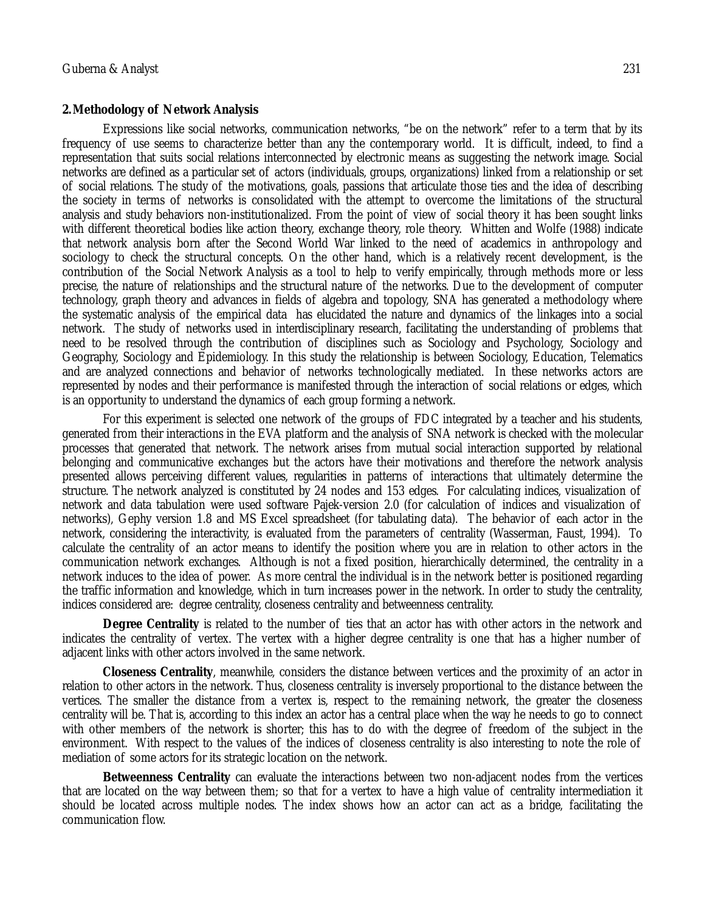#### **2.Methodology of Network Analysis**

Expressions like social networks, communication networks, "be on the network" refer to a term that by its frequency of use seems to characterize better than any the contemporary world. It is difficult, indeed, to find a representation that suits social relations interconnected by electronic means as suggesting the network image. Social networks are defined as a particular set of actors (individuals, groups, organizations) linked from a relationship or set of social relations. The study of the motivations, goals, passions that articulate those ties and the idea of describing the society in terms of networks is consolidated with the attempt to overcome the limitations of the structural analysis and study behaviors non-institutionalized. From the point of view of social theory it has been sought links with different theoretical bodies like action theory, exchange theory, role theory. Whitten and Wolfe (1988) indicate that network analysis born after the Second World War linked to the need of academics in anthropology and sociology to check the structural concepts. On the other hand, which is a relatively recent development, is the contribution of the Social Network Analysis as a tool to help to verify empirically, through methods more or less precise, the nature of relationships and the structural nature of the networks. Due to the development of computer technology, graph theory and advances in fields of algebra and topology, SNA has generated a methodology where the systematic analysis of the empirical data has elucidated the nature and dynamics of the linkages into a social network. The study of networks used in interdisciplinary research, facilitating the understanding of problems that need to be resolved through the contribution of disciplines such as Sociology and Psychology, Sociology and Geography, Sociology and Epidemiology. In this study the relationship is between Sociology, Education, Telematics and are analyzed connections and behavior of networks technologically mediated. In these networks actors are represented by nodes and their performance is manifested through the interaction of social relations or edges, which is an opportunity to understand the dynamics of each group forming a network.

For this experiment is selected one network of the groups of FDC integrated by a teacher and his students, generated from their interactions in the EVA platform and the analysis of SNA network is checked with the molecular processes that generated that network. The network arises from mutual social interaction supported by relational belonging and communicative exchanges but the actors have their motivations and therefore the network analysis presented allows perceiving different values, regularities in patterns of interactions that ultimately determine the structure. The network analyzed is constituted by 24 nodes and 153 edges. For calculating indices, visualization of network and data tabulation were used software Pajek-version 2.0 (for calculation of indices and visualization of networks), Gephy version 1.8 and MS Excel spreadsheet (for tabulating data). The behavior of each actor in the network, considering the interactivity, is evaluated from the parameters of centrality (Wasserman, Faust, 1994). To calculate the centrality of an actor means to identify the position where you are in relation to other actors in the communication network exchanges. Although is not a fixed position, hierarchically determined, the centrality in a network induces to the idea of power. As more central the individual is in the network better is positioned regarding the traffic information and knowledge, which in turn increases power in the network. In order to study the centrality, indices considered are: degree centrality, closeness centrality and betweenness centrality.

**Degree Centrality** is related to the number of ties that an actor has with other actors in the network and indicates the centrality of vertex. The vertex with a higher degree centrality is one that has a higher number of adjacent links with other actors involved in the same network.

**Closeness Centrality**, meanwhile, considers the distance between vertices and the proximity of an actor in relation to other actors in the network. Thus, closeness centrality is inversely proportional to the distance between the vertices. The smaller the distance from a vertex is, respect to the remaining network, the greater the closeness centrality will be. That is, according to this index an actor has a central place when the way he needs to go to connect with other members of the network is shorter; this has to do with the degree of freedom of the subject in the environment. With respect to the values of the indices of closeness centrality is also interesting to note the role of mediation of some actors for its strategic location on the network.

**Betweenness Centrality** can evaluate the interactions between two non-adjacent nodes from the vertices that are located on the way between them; so that for a vertex to have a high value of centrality intermediation it should be located across multiple nodes. The index shows how an actor can act as a bridge, facilitating the communication flow.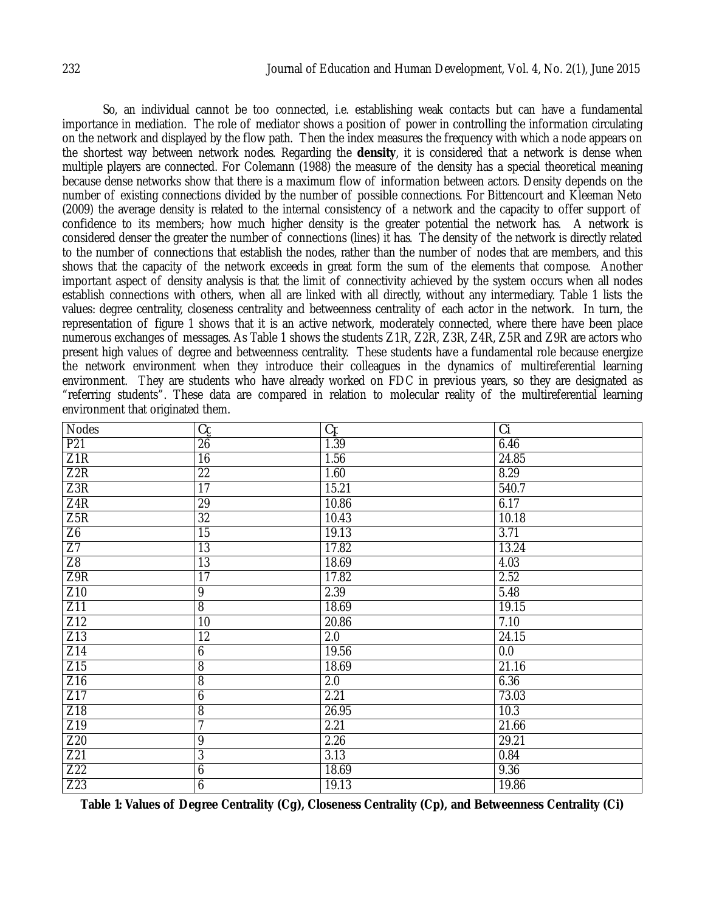So, an individual cannot be too connected, i.e. establishing weak contacts but can have a fundamental importance in mediation. The role of mediator shows a position of power in controlling the information circulating on the network and displayed by the flow path. Then the index measures the frequency with which a node appears on the shortest way between network nodes. Regarding the **density**, it is considered that a network is dense when multiple players are connected. For Colemann (1988) the measure of the density has a special theoretical meaning because dense networks show that there is a maximum flow of information between actors. Density depends on the number of existing connections divided by the number of possible connections. For Bittencourt and Kleeman Neto (2009) the average density is related to the internal consistency of a network and the capacity to offer support of confidence to its members; how much higher density is the greater potential the network has. A network is considered denser the greater the number of connections (lines) it has. The density of the network is directly related to the number of connections that establish the nodes, rather than the number of nodes that are members, and this shows that the capacity of the network exceeds in great form the sum of the elements that compose. Another important aspect of density analysis is that the limit of connectivity achieved by the system occurs when all nodes establish connections with others, when all are linked with all directly, without any intermediary. Table 1 lists the values: degree centrality, closeness centrality and betweenness centrality of each actor in the network. In turn, the representation of figure 1 shows that it is an active network, moderately connected, where there have been place numerous exchanges of messages. As Table 1 shows the students Z1R, Z2R, Z3R, Z4R, Z5R and Z9R are actors who present high values of degree and betweenness centrality. These students have a fundamental role because energize the network environment when they introduce their colleagues in the dynamics of multireferential learning environment. They are students who have already worked on FDC in previous years, so they are designated as "referring students". These data are compared in relation to molecular reality of the multireferential learning environment that originated them.

| <b>Nodes</b>    | Cg              | Cp               | Сi               |
|-----------------|-----------------|------------------|------------------|
| P21             | 26              | 1.39             | 6.46             |
| Z1R             | 16              | 1.56             | 24.85            |
| Z2R             | $\overline{22}$ | 1.60             | 8.29             |
| Z3R             | 17              | 15.21            | 540.7            |
| Z4R             | 29              | 10.86            | 6.17             |
| Z5R             | $\overline{32}$ | 10.43            | 10.18            |
| Z6              | 15              | 19.13            | 3.71             |
| $\overline{Z}$  | $\overline{13}$ | 17.82            | 13.24            |
| Z8              | $\overline{13}$ | 18.69            | 4.03             |
| Z9R             | 17              | 17.82            | 2.52             |
| Z10             | $\overline{9}$  | 2.39             | 5.48             |
| Z11             | $\overline{8}$  | 18.69            | 19.15            |
| Z12             | 10              | 20.86            | 7.10             |
| Z13             | $\overline{12}$ | 2.0              | 24.15            |
| Z14             | 6               | 19.56            | $\overline{0.0}$ |
| Z15             | 8               | 18.69            | 21.16            |
| Z16             | $\overline{8}$  | $\overline{2.0}$ | 6.36             |
| Z17             | 6               | 2.21             | 73.03            |
| Z18             | $\overline{8}$  | 26.95            | 10.3             |
| Z19             | 7               | 2.21             | 21.66            |
| Z20             | $\overline{9}$  | 2.26             | 29.21            |
| Z21             | 3               | 3.13             | 0.84             |
| Z <sub>22</sub> | 6               | 18.69            | 9.36             |
| Z <sub>23</sub> | 6               | 19.13            | 19.86            |

**Table 1: Values of Degree Centrality (Cg), Closeness Centrality (Cp), and Betweenness Centrality (Ci)**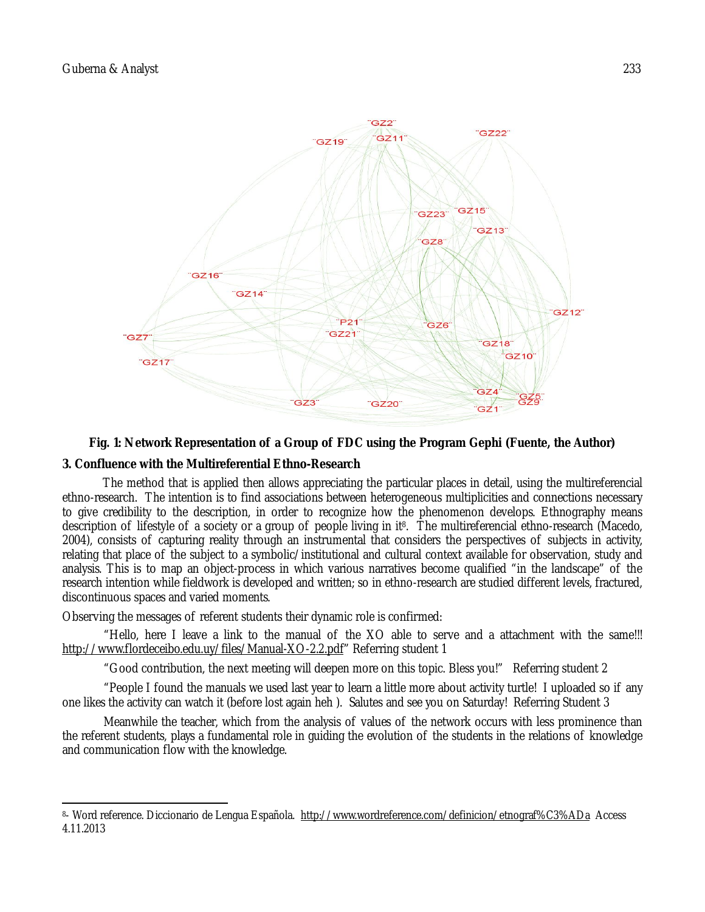

## **Fig. 1: Network Representation of a Group of FDC using the Program Gephi (Fuente, the Author)**

### **3. Confluence with the Multireferential Ethno-Research**

The method that is applied then allows appreciating the particular places in detail, using the multireferencial ethno-research. The intention is to find associations between heterogeneous multiplicities and connections necessary to give credibility to the description, in order to recognize how the phenomenon develops. Ethnography means description of lifestyle of a society or a group of people living in it8. The multireferencial ethno-research (Macedo, 2004), consists of capturing reality through an instrumental that considers the perspectives of subjects in activity, relating that place of the subject to a symbolic/institutional and cultural context available for observation, study and analysis. This is to map an object-process in which various narratives become qualified "in the landscape" of the research intention while fieldwork is developed and written; so in ethno-research are studied different levels, fractured, discontinuous spaces and varied moments.

Observing the messages of referent students their dynamic role is confirmed:

"Hello, here I leave a link to the manual of the XO able to serve and a attachment with the same!!! http://www.flordeceibo.edu.uy/files/Manual-XO-2.2.pdf" Referring student 1

"Good contribution, the next meeting will deepen more on this topic. Bless you!" Referring student 2

"People I found the manuals we used last year to learn a little more about activity turtle! I uploaded so if any one likes the activity can watch it (before lost again heh ). Salutes and see you on Saturday! Referring Student 3

Meanwhile the teacher, which from the analysis of values of the network occurs with less prominence than the referent students, plays a fundamental role in guiding the evolution of the students in the relations of knowledge and communication flow with the knowledge.

 $\overline{a}$ <sup>8</sup>- Word reference. Diccionario de Lengua Española. <u>http://www.wordreference.com/definicion/etnograf%C3%ADa</u> Access 4.11.2013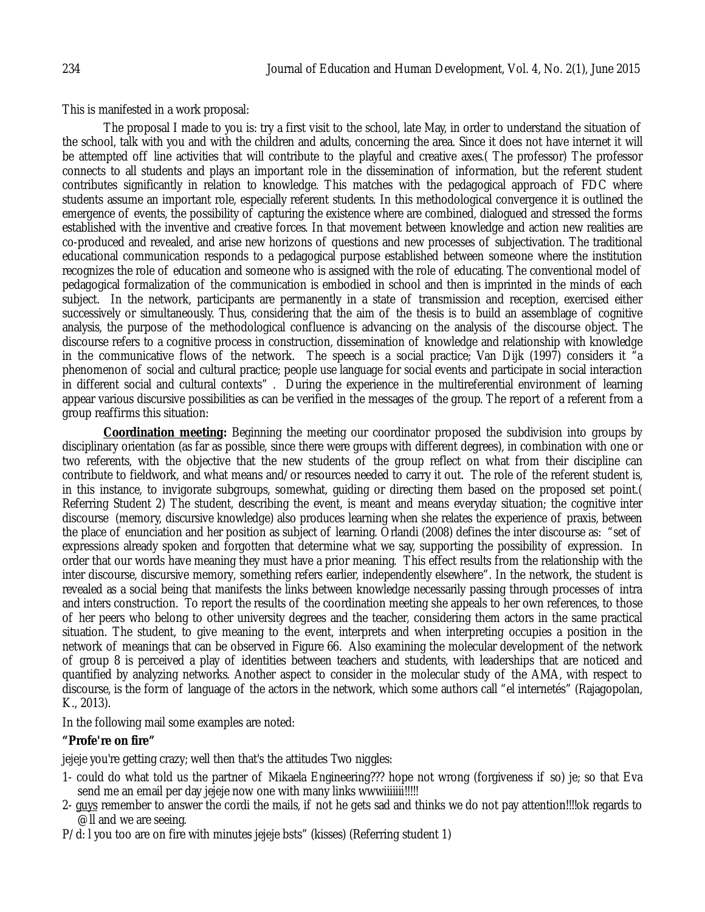This is manifested in a work proposal:

The proposal I made to you is: try a first visit to the school, late May, in order to understand the situation of the school, talk with you and with the children and adults, concerning the area. Since it does not have internet it will be attempted off line activities that will contribute to the playful and creative axes.( The professor) The professor connects to all students and plays an important role in the dissemination of information, but the referent student contributes significantly in relation to knowledge. This matches with the pedagogical approach of FDC where students assume an important role, especially referent students. In this methodological convergence it is outlined the emergence of events, the possibility of capturing the existence where are combined, dialogued and stressed the forms established with the inventive and creative forces. In that movement between knowledge and action new realities are co-produced and revealed, and arise new horizons of questions and new processes of subjectivation. The traditional educational communication responds to a pedagogical purpose established between someone where the institution recognizes the role of education and someone who is assigned with the role of educating. The conventional model of pedagogical formalization of the communication is embodied in school and then is imprinted in the minds of each subject. In the network, participants are permanently in a state of transmission and reception, exercised either successively or simultaneously. Thus, considering that the aim of the thesis is to build an assemblage of cognitive analysis, the purpose of the methodological confluence is advancing on the analysis of the discourse object. The discourse refers to a cognitive process in construction, dissemination of knowledge and relationship with knowledge in the communicative flows of the network. The speech is a social practice; Van Dijk (1997) considers it "a phenomenon of social and cultural practice; people use language for social events and participate in social interaction in different social and cultural contexts" . During the experience in the multireferential environment of learning appear various discursive possibilities as can be verified in the messages of the group. The report of a referent from a group reaffirms this situation:

**Coordination meeting:** Beginning the meeting our coordinator proposed the subdivision into groups by disciplinary orientation (as far as possible, since there were groups with different degrees), in combination with one or two referents, with the objective that the new students of the group reflect on what from their discipline can contribute to fieldwork, and what means and/or resources needed to carry it out. The role of the referent student is, in this instance, to invigorate subgroups, somewhat, guiding or directing them based on the proposed set point.( Referring Student 2) The student, describing the event, is meant and means everyday situation; the cognitive inter discourse (memory, discursive knowledge) also produces learning when she relates the experience of praxis, between the place of enunciation and her position as subject of learning. Orlandi (2008) defines the inter discourse as: "set of expressions already spoken and forgotten that determine what we say, supporting the possibility of expression. In order that our words have meaning they must have a prior meaning. This effect results from the relationship with the inter discourse, discursive memory, something refers earlier, independently elsewhere". In the network, the student is revealed as a social being that manifests the links between knowledge necessarily passing through processes of intra and inters construction. To report the results of the coordination meeting she appeals to her own references, to those of her peers who belong to other university degrees and the teacher, considering them actors in the same practical situation. The student, to give meaning to the event, interprets and when interpreting occupies a position in the network of meanings that can be observed in Figure 66. Also examining the molecular development of the network of group 8 is perceived a play of identities between teachers and students, with leaderships that are noticed and quantified by analyzing networks. Another aspect to consider in the molecular study of the AMA, with respect to discourse, is the form of language of the actors in the network, which some authors call "el internetés" (Rajagopolan, K., 2013).

In the following mail some examples are noted:

# **"Profe're on fire"**

jejeje you're getting crazy; well then that's the attitudes Two niggles:

- 1- could do what told us the partner of Mikaela Engineering??? hope not wrong (forgiveness if so) je; so that Eva send me an email per day jejeje now one with many links wwwiiiiiii!!!!!!
- 2- guys remember to answer the cordi the mails, if not he gets sad and thinks we do not pay attention!!!!ok regards to @ll and we are seeing.
- P/d: l you too are on fire with minutes jejeje bsts" (kisses) (Referring student 1)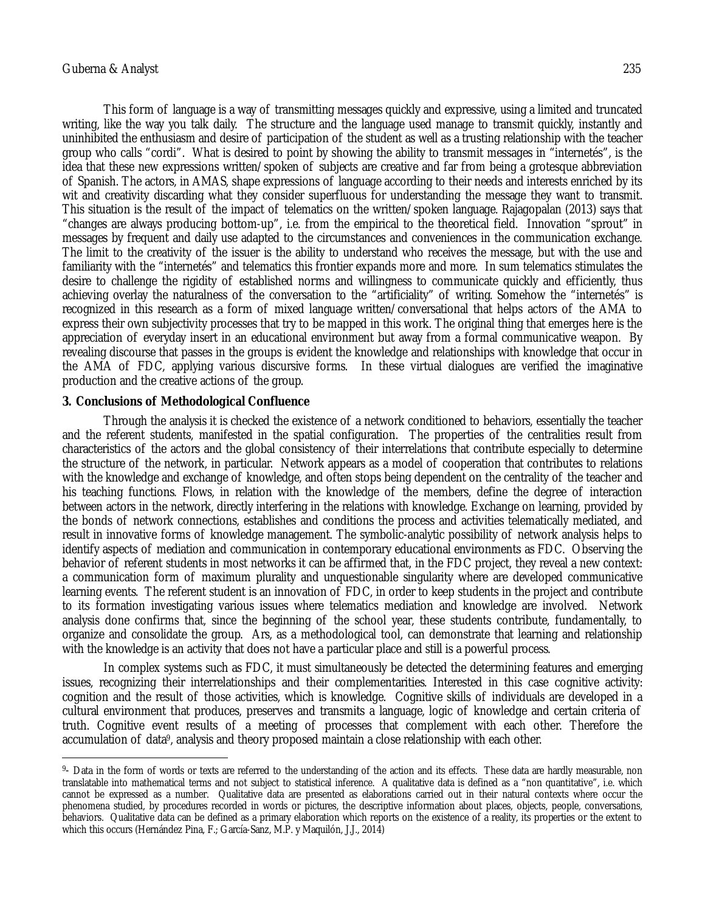$\overline{a}$ 

This form of language is a way of transmitting messages quickly and expressive, using a limited and truncated writing, like the way you talk daily. The structure and the language used manage to transmit quickly, instantly and uninhibited the enthusiasm and desire of participation of the student as well as a trusting relationship with the teacher group who calls "cordi". What is desired to point by showing the ability to transmit messages in "internetés", is the idea that these new expressions written/spoken of subjects are creative and far from being a grotesque abbreviation of Spanish. The actors, in AMAS, shape expressions of language according to their needs and interests enriched by its wit and creativity discarding what they consider superfluous for understanding the message they want to transmit. This situation is the result of the impact of telematics on the written/spoken language. Rajagopalan (2013) says that "changes are always producing bottom-up", i.e. from the empirical to the theoretical field. Innovation "sprout" in messages by frequent and daily use adapted to the circumstances and conveniences in the communication exchange. The limit to the creativity of the issuer is the ability to understand who receives the message, but with the use and familiarity with the "internetés" and telematics this frontier expands more and more. In sum telematics stimulates the desire to challenge the rigidity of established norms and willingness to communicate quickly and efficiently, thus achieving overlay the naturalness of the conversation to the "artificiality" of writing. Somehow the "internetés" is recognized in this research as a form of mixed language written/conversational that helps actors of the AMA to express their own subjectivity processes that try to be mapped in this work. The original thing that emerges here is the appreciation of everyday insert in an educational environment but away from a formal communicative weapon. By revealing discourse that passes in the groups is evident the knowledge and relationships with knowledge that occur in the AMA of FDC, applying various discursive forms. In these virtual dialogues are verified the imaginative production and the creative actions of the group.

### **3. Conclusions of Methodological Confluence**

Through the analysis it is checked the existence of a network conditioned to behaviors, essentially the teacher and the referent students, manifested in the spatial configuration. The properties of the centralities result from characteristics of the actors and the global consistency of their interrelations that contribute especially to determine the structure of the network, in particular. Network appears as a model of cooperation that contributes to relations with the knowledge and exchange of knowledge, and often stops being dependent on the centrality of the teacher and his teaching functions. Flows, in relation with the knowledge of the members, define the degree of interaction between actors in the network, directly interfering in the relations with knowledge. Exchange on learning, provided by the bonds of network connections, establishes and conditions the process and activities telematically mediated, and result in innovative forms of knowledge management. The symbolic-analytic possibility of network analysis helps to identify aspects of mediation and communication in contemporary educational environments as FDC. Observing the behavior of referent students in most networks it can be affirmed that, in the FDC project, they reveal a new context: a communication form of maximum plurality and unquestionable singularity where are developed communicative learning events. The referent student is an innovation of FDC, in order to keep students in the project and contribute to its formation investigating various issues where telematics mediation and knowledge are involved. Network analysis done confirms that, since the beginning of the school year, these students contribute, fundamentally, to organize and consolidate the group. Ars, as a methodological tool, can demonstrate that learning and relationship with the knowledge is an activity that does not have a particular place and still is a powerful process.

In complex systems such as FDC, it must simultaneously be detected the determining features and emerging issues, recognizing their interrelationships and their complementarities. Interested in this case cognitive activity: cognition and the result of those activities, which is knowledge. Cognitive skills of individuals are developed in a cultural environment that produces, preserves and transmits a language, logic of knowledge and certain criteria of truth. Cognitive event results of a meeting of processes that complement with each other. Therefore the accumulation of data9, analysis and theory proposed maintain a close relationship with each other.

<sup>9</sup> - Data in the form of words or texts are referred to the understanding of the action and its effects. These data are hardly measurable, non translatable into mathematical terms and not subject to statistical inference. A qualitative data is defined as a "non quantitative", i.e. which cannot be expressed as a number. Qualitative data are presented as elaborations carried out in their natural contexts where occur the phenomena studied, by procedures recorded in words or pictures, the descriptive information about places, objects, people, conversations, behaviors. Qualitative data can be defined as a primary elaboration which reports on the existence of a reality, its properties or the extent to which this occurs (Hernández Pina, F.; García-Sanz, M.P. y Maquilón, J.J., 2014)